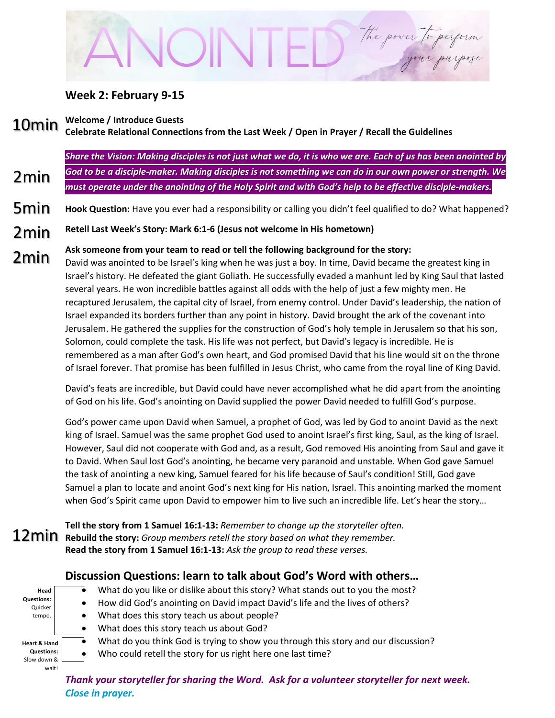# The power to perform

## **Week 2: February 9-15**

**Welcome / Introduce Guests** 10min

2min

# **Celebrate Relational Connections from the Last Week / Open in Prayer / Recall the Guidelines**

*Share the Vision: Making disciples is not just what we do, it is who we are. Each of us has been anointed by God to be a disciple-maker. Making disciples is not something we can do in our own power or strength. We must operate under the anointing of the Holy Spirit and with God's help to be effective disciple-makers.*

- **Hook Question:** Have you ever had a responsibility or calling you didn't feel qualified to do? What happened? 5min
- **Retell Last Week's Story: Mark 6:1-6 (Jesus not welcome in His hometown)** 2min

#### **Ask someone from your team to read or tell the following background for the story:** 2min

David was anointed to be Israel's king when he was just a boy. In time, David became the greatest king in Israel's history. He defeated the giant Goliath. He successfully evaded a manhunt led by King Saul that lasted several years. He won incredible battles against all odds with the help of just a few mighty men. He recaptured Jerusalem, the capital city of Israel, from enemy control. Under David's leadership, the nation of Israel expanded its borders further than any point in history. David brought the ark of the covenant into Jerusalem. He gathered the supplies for the construction of God's holy temple in Jerusalem so that his son, Solomon, could complete the task. His life was not perfect, but David's legacy is incredible. He is remembered as a man after God's own heart, and God promised David that his line would sit on the throne of Israel forever. That promise has been fulfilled in Jesus Christ, who came from the royal line of King David.

David's feats are incredible, but David could have never accomplished what he did apart from the anointing of God on his life. God's anointing on David supplied the power David needed to fulfill God's purpose.

God's power came upon David when Samuel, a prophet of God, was led by God to anoint David as the next king of Israel. Samuel was the same prophet God used to anoint Israel's first king, Saul, as the king of Israel. However, Saul did not cooperate with God and, as a result, God removed His anointing from Saul and gave it to David. When Saul lost God's anointing, he became very paranoid and unstable. When God gave Samuel the task of anointing a new king, Samuel feared for his life because of Saul's condition! Still, God gave Samuel a plan to locate and anoint God's next king for His nation, Israel. This anointing marked the moment when God's Spirit came upon David to empower him to live such an incredible life. Let's hear the story…

**Tell the story from 1 Samuel 16:1-13:** *Remember to change up the storyteller often.* **Rebuild the story:** *Group members retell the story based on what they remember.* **Read the story from 1 Samuel 16:1-13:** *Ask the group to read these verses.*

# **Discussion Questions: learn to talk about God's Word with others…**

| Head              |  |
|-------------------|--|
| <b>Questions:</b> |  |
| Quicker           |  |
| tempo.            |  |
|                   |  |
|                   |  |
| Heart & Hand      |  |
| Questions:        |  |
| Slow down &       |  |
| waitl             |  |

- What do you like or dislike about this story? What stands out to you the most?
- How did God's anointing on David impact David's life and the lives of others?
- What does this story teach us about people?
- What does this story teach us about God?
- What do you think God is trying to show you through this story and our discussion?
- Who could retell the story for us right here one last time?

*Thank your storyteller for sharing the Word. Ask for a volunteer storyteller for next week. Close in prayer.*